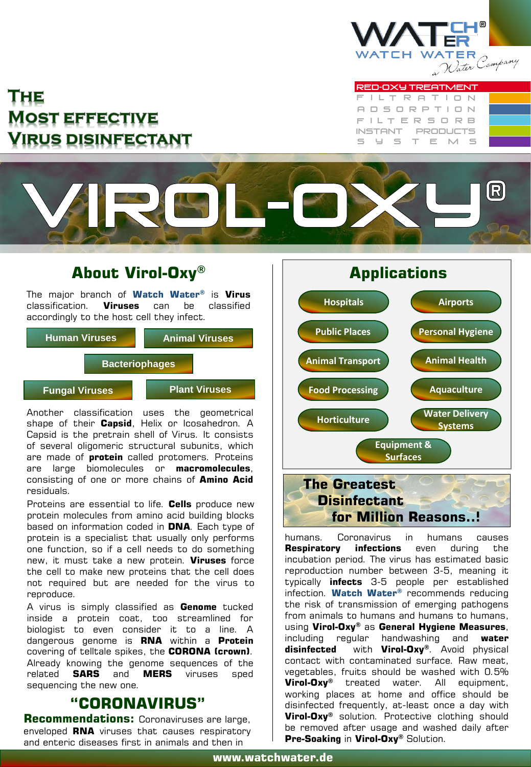

# THE **MOST EFFECTIVE** Virus disinfectant

F I L T E R S O R B A D S O R P T I O N F I L T R A T I O N RED-OXY TREATMENT INSTANT PRODUCTS S y s t e m s



## **About Virol-Oxy®**

The major branch of **Watch Water®** is **Virus** classification. **Viruses** can be classified accordingly to the host cell they infect.



Another classification uses the geometrical shape of their **Capsid**, Helix or Icosahedron. A Capsid is the pretrain shell of Virus. It consists of several oligomeric structural subunits, which are made of **protein** called protomers. Proteins are large biomolecules or **macromolecules**, consisting of one or more chains of **Amino Acid** residuals.

Proteins are essential to life. **Cells** produce new protein molecules from amino acid building blocks based on information coded in **DNA**. Each type of protein is a specialist that usually only performs one function, so if a cell needs to do something new, it must take a new protein. **Viruses** force the cell to make new proteins that the cell does not required but are needed for the virus to reproduce.

A virus is simply classified as **Genome** tucked inside a protein coat, too streamlined for biologist to even consider it to a line. A dangerous genome is **RNA** within a **Protein** covering of telltale spikes, the **CORONA (crown)**. Already knowing the genome sequences of the related **SARS** and **MERS** viruses sped sequencing the new one.

# **"CORONAVIRUS"**

**Recommendations:** Coronaviruses are large, enveloped **RNA** viruses that causes respiratory and enteric diseases first in animals and then in



humans. Coronavirus in humans causes **Respiratory infections** even during the incubation period. The virus has estimated basic reproduction number between 3-5, meaning it typically **infects** 3-5 people per established infection. **Watch Water®** recommends reducing the risk of transmission of emerging pathogens from animals to humans and humans to humans, using **Virol-Oxy®** as **General Hygiene Measures**, including regular handwashing and **water disinfected** with **Virol-Oxy®**. Avoid physical contact with contaminated surface. Raw meat, vegetables, fruits should be washed with 0.5% **Virol-Oxy®** treated water. All equipment, working places at home and office should be disinfected frequently, at-least once a day with **Virol-Oxy®** solution. Protective clothing should be removed after usage and washed daily after **Pre-Soaking** in **Virol-Oxy®** Solution.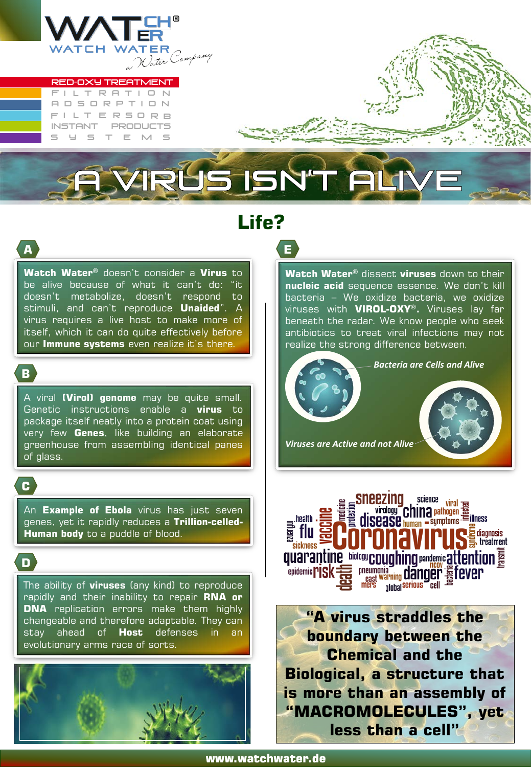

#### F I L T R A T I O N A D S O R P T I O N RED-OXY TREATMENT

F I L T E R S O R B INSTANT PRODUCTS S T E M S

# **Life?**

**E**

**A**

**Watch Water®** doesn't consider a **Virus** to be alive because of what it can't do: "it doesn't metabolize, doesn't respond to stimuli, and can't reproduce **Unaided**". A virus requires a live host to make more of itself, which it can do quite effectively before our **Immune systems** even realize it's there.

**B**

A viral **(Virol) genome** may be quite small. Genetic instructions enable a **virus** to package itself neatly into a protein coat using very few **Genes**, like building an elaborate greenhouse from assembling identical panes of glass.

**C**

An **Example of Ebola** virus has just seven genes, yet it rapidly reduces a **Trillion-celled-Human body** to a puddle of blood.

**D**

The ability of **viruses** (any kind) to reproduce rapidly and their inability to repair **RNA or DNA** replication errors make them highly changeable and therefore adaptable. They can stay ahead of **Host** defenses in an evolutionary arms race of sorts.



**Watch Water®** dissect **viruses** down to their **nucleic acid** sequence essence. We don't kill bacteria – We oxidize bacteria, we oxidize viruses with **VIROL-OXY®.** Viruses lay far beneath the radar. We know people who seek antibiotics to treat viral infections may not realize the strong difference between.





**"A virus straddles the boundary between the Chemical and the Biological, a structure that is more than an assembly of "MACROMOLECULES", yet less than a cell"**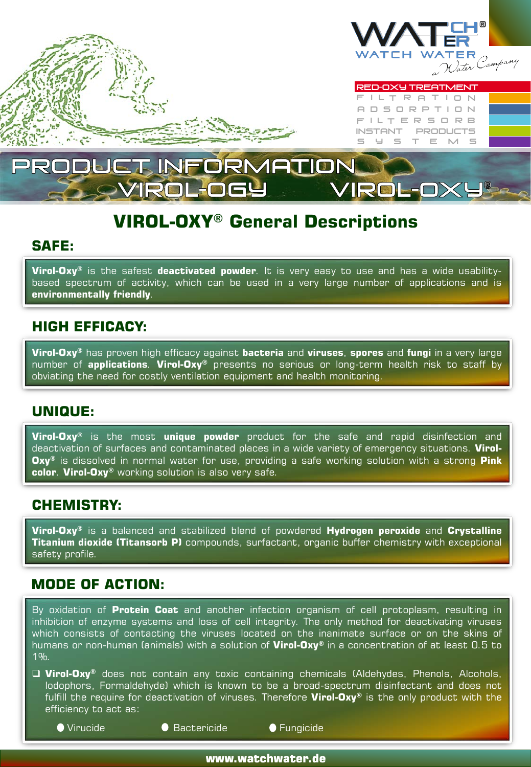

# INFORMATION VIROL-OX!

# **VIROL-OXY® General Descriptions**

#### **SAFE:**

**Virol-Oxy®** is the safest **deactivated powder**. It is very easy to use and has a wide usabilitybased spectrum of activity, which can be used in a very large number of applications and is **environmentally friendly**.

### **HIGH EFFICACY:**

**Virol-Oxy®** has proven high efficacy against **bacteria** and **viruses**, **spores** and **fungi** in a very large number of **applications**. **Virol-Oxy®** presents no serious or long-term health risk to staff by obviating the need for costly ventilation equipment and health monitoring.

### **UNIQUE:**

**Virol-Oxy®** is the most **unique powder** product for the safe and rapid disinfection and deactivation of surfaces and contaminated places in a wide variety of emergency situations. **Virol-Oxy®** is dissolved in normal water for use, providing a safe working solution with a strong **Pink color**. **Virol-Oxy®** working solution is also very safe.

### **CHEMISTRY:**

**Virol-Oxy®** is a balanced and stabilized blend of powdered **Hydrogen peroxide** and **Crystalline Titanium dioxide (Titansorb P)** compounds, surfactant, organic buffer chemistry with exceptional safety profile.

### **MODE OF ACTION:**

By oxidation of **Protein Coat** and another infection organism of cell protoplasm, resulting in inhibition of enzyme systems and loss of cell integrity. The only method for deactivating viruses which consists of contacting the viruses located on the inanimate surface or on the skins of humans or non-human (animals) with a solution of **Virol-Oxy®** in a concentration of at least 0.5 to 1%.

 **Virol-Oxy®** does not contain any toxic containing chemicals (Aldehydes, Phenols, Alcohols, Iodophors, Formaldehyde) which is known to be a broad-spectrum disinfectant and does not fulfill the require for deactivation of viruses. Therefore **Virol-Oxy®** is the only product with the efficiency to act as:

● Virucide ■ ■ ■ ■ Bactericide ■ ■ ■ Fungicide

**www.watchwater.de**